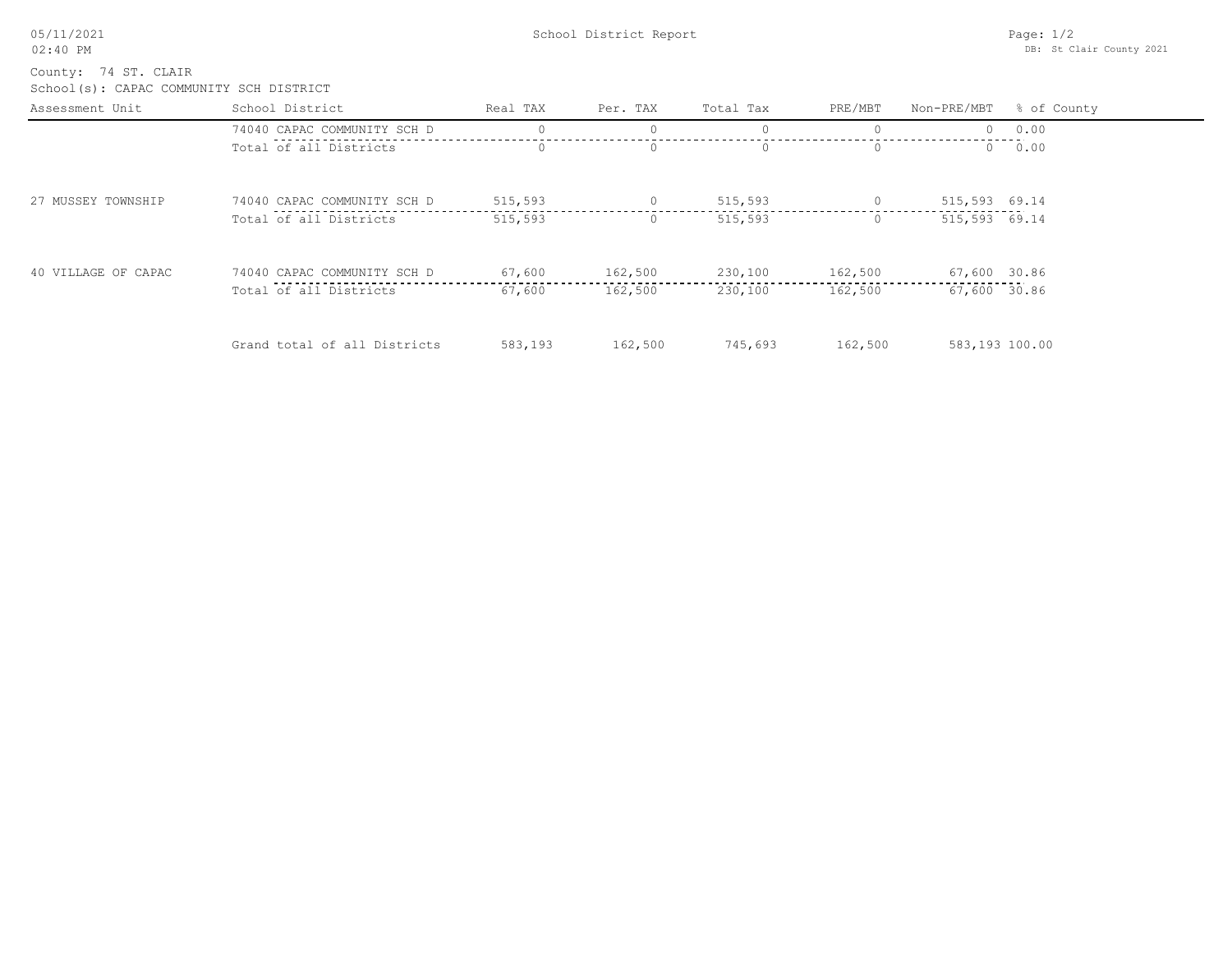School(s): CAPAC COMMUNITY SCH DISTRICT County: 74 ST. CLAIR

| Assessment Unit     | School District              | Real TAX | Per. TAX | Total Tax | PRE/MBT  |                | Non-PRE/MBT % of County |
|---------------------|------------------------------|----------|----------|-----------|----------|----------------|-------------------------|
|                     | 74040 CAPAC COMMUNITY SCH D  |          |          |           |          |                | 0.00                    |
|                     | Total of all Districts       |          | $\circ$  |           |          | $\Box$         | 0.00                    |
| 27 MUSSEY TOWNSHIP  | 74040 CAPAC COMMUNITY SCH D  | 515,593  | $\circ$  | 515,593   | $\Omega$ | 515,593 69.14  |                         |
|                     | Total of all Districts       | 515,593  | $\circ$  | 515,593   | $\Omega$ | 515,593 69.14  |                         |
| 40 VILLAGE OF CAPAC | 74040 CAPAC COMMUNITY SCH D  | 67,600   | 162,500  | 230,100   | 162,500  | 67,600 30.86   |                         |
|                     | Total of all Districts       | 67,600   | 162,500  | 230,100   | 162,500  | 67,600 30.86   |                         |
|                     | Grand total of all Districts | 583,193  | 162,500  | 745,693   | 162,500  | 583,193 100.00 |                         |